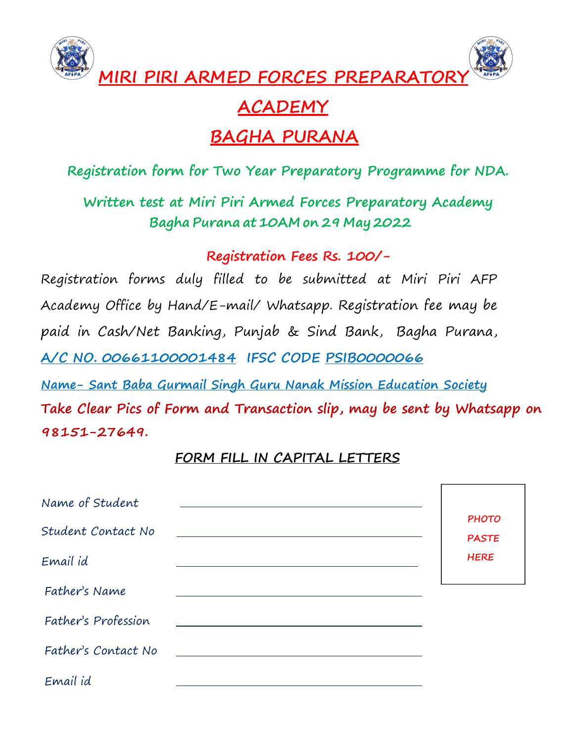

# **ACADEMY**

# **BAGHA PURANA**

### **Registration form for Two Year Preparatory Programme for NDA.**

**Written test atMiri Piri Armed Forces Preparatory Academy Bagha Purana at 10AM on 29 May 2022**

**Registration Fees Rs. 100/-**

Registration forms duly filled to be submitted at Miri Piri AFP Academy Office by Hand/E-mail/ Whatsapp. Registration fee may be paid in Cash/Net Banking, Punjab & Sind Bank, Bagha Purana, **A/C NO. 00661100001484 IFSC CODE PSIB0000066 Name- Sant Baba Gurmail Singh Guru Nanak Mission Education Society**

**Take Clear Pics of Form and Transaction slip, may be sent by Whatsapp on 98151-27649.**

### **FORM FILL IN CAPITAL LETTERS**

| Name of Student     |                              |  |
|---------------------|------------------------------|--|
| Student Contact No  | <b>PHOTO</b><br><b>PASTE</b> |  |
| Email id            | <b>HERE</b>                  |  |
| Father's Name       |                              |  |
| Father's Profession |                              |  |
| Father's Contact No |                              |  |
| Email id            |                              |  |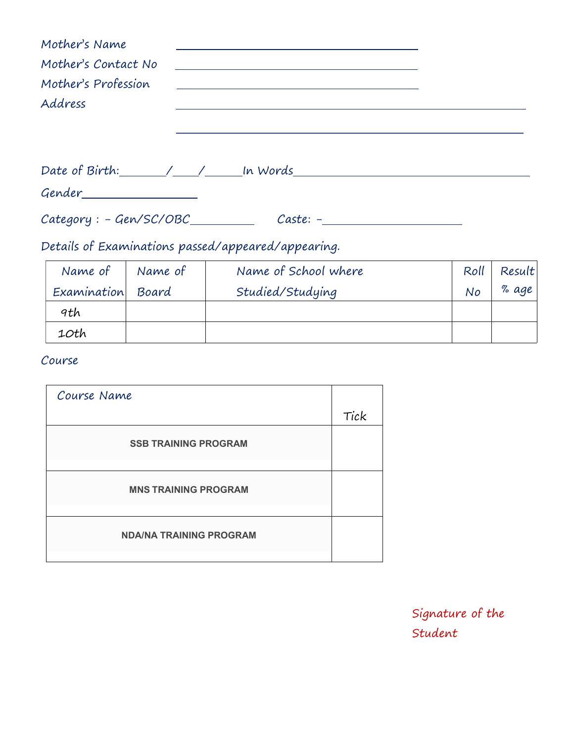| Mother's Name<br>Mother's Contact No<br>Mother's Profession<br>Address | <u> Alexandria de la contrada de la contrada de la contrada de la contrada de la contrada de la contrada de la c</u><br><u> Alexandria de la contrada de la contrada de la contrada de la contrada de la contrada de la contrada de la c</u>                                                              |  |
|------------------------------------------------------------------------|-----------------------------------------------------------------------------------------------------------------------------------------------------------------------------------------------------------------------------------------------------------------------------------------------------------|--|
|                                                                        |                                                                                                                                                                                                                                                                                                           |  |
| $Category: - Gen/SC/OBC$                                               | $\mathcal{D}$ and $\mathcal{D}$ and $\mathcal{D}$ and $\mathcal{D}$ are all $\mathcal{D}$ and $\mathcal{D}$ and $\mathcal{D}$ are all $\mathcal{D}$ and $\mathcal{D}$ are all $\mathcal{D}$ and $\mathcal{D}$ are all $\mathcal{D}$ and $\mathcal{D}$ are all $\mathcal{D}$ and $\mathcal{D}$ are all $\$ |  |

Details of Examinations passed/appeared/appearing.

| Name of     | Name of | Name of School where | Roll | Result |  |
|-------------|---------|----------------------|------|--------|--|
| Examination | Board   | Studied/Studying     | No   | % age  |  |
| 9th         |         |                      |      |        |  |
| 10th        |         |                      |      |        |  |

#### Course

| Course Name                    |      |  |
|--------------------------------|------|--|
|                                | Tick |  |
| <b>SSB TRAINING PROGRAM</b>    |      |  |
| <b>MNS TRAINING PROGRAM</b>    |      |  |
| <b>NDA/NA TRAINING PROGRAM</b> |      |  |
|                                |      |  |

Signature of the Student